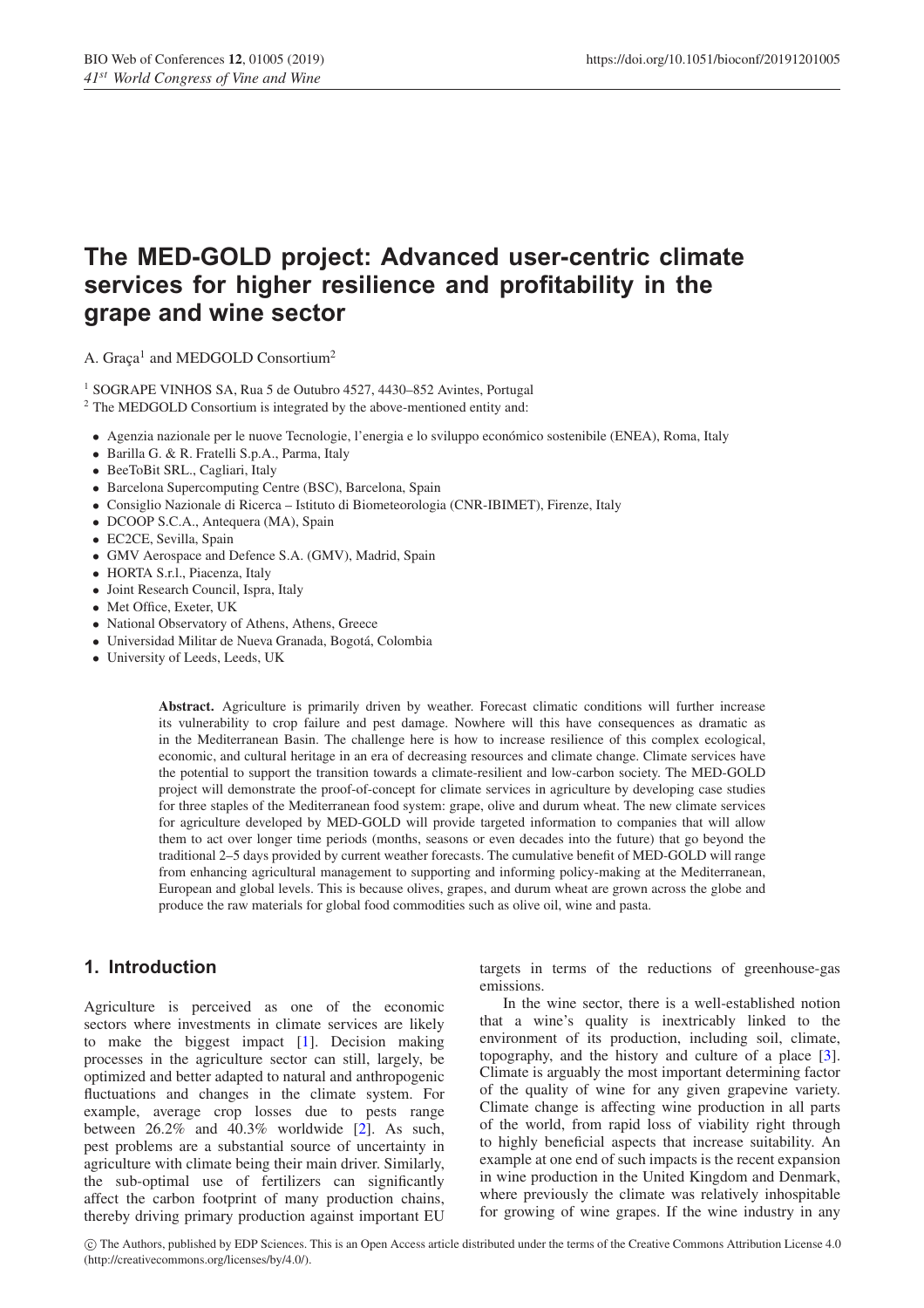# **The MED-GOLD project: Advanced user-centric climate services for higher resilience and profitability in the grape and wine sector**

A. Graça<sup>1</sup> and MEDGOLD Consortium<sup>2</sup>

<sup>1</sup> SOGRAPE VINHOS SA, Rua 5 de Outubro 4527, 4430–852 Avintes, Portugal

<sup>2</sup> The MEDGOLD Consortium is integrated by the above-mentioned entity and:

- Agenzia nazionale per le nuove Tecnologie, l'energia e lo sviluppo economico sostenibile (ENEA), Roma, Italy ´
- Barilla G. & R. Fratelli S.p.A., Parma, Italy
- BeeToBit SRL., Cagliari, Italy
- Barcelona Supercomputing Centre (BSC), Barcelona, Spain
- Consiglio Nazionale di Ricerca Istituto di Biometeorologia (CNR-IBIMET), Firenze, Italy
- DCOOP S.C.A., Antequera (MA), Spain
- EC2CE, Sevilla, Spain
- GMV Aerospace and Defence S.A. (GMV), Madrid, Spain
- HORTA S.r.l., Piacenza, Italy
- Joint Research Council, Ispra, Italy
- Met Office, Exeter, UK
- National Observatory of Athens, Athens, Greece
- Universidad Militar de Nueva Granada, Bogota, Colombia ´
- University of Leeds, Leeds, UK

**Abstract.** Agriculture is primarily driven by weather. Forecast climatic conditions will further increase its vulnerability to crop failure and pest damage. Nowhere will this have consequences as dramatic as in the Mediterranean Basin. The challenge here is how to increase resilience of this complex ecological, economic, and cultural heritage in an era of decreasing resources and climate change. Climate services have the potential to support the transition towards a climate-resilient and low-carbon society. The MED-GOLD project will demonstrate the proof-of-concept for climate services in agriculture by developing case studies for three staples of the Mediterranean food system: grape, olive and durum wheat. The new climate services for agriculture developed by MED-GOLD will provide targeted information to companies that will allow them to act over longer time periods (months, seasons or even decades into the future) that go beyond the traditional 2–5 days provided by current weather forecasts. The cumulative benefit of MED-GOLD will range from enhancing agricultural management to supporting and informing policy-making at the Mediterranean, European and global levels. This is because olives, grapes, and durum wheat are grown across the globe and produce the raw materials for global food commodities such as olive oil, wine and pasta.

### **1. Introduction**

Agriculture is perceived as one of the economic sectors where investments in climate services are likely to make the biggest impact [\[1](#page-3-0)]. Decision making processes in the agriculture sector can still, largely, be optimized and better adapted to natural and anthropogenic fluctuations and changes in the climate system. For example, average crop losses due to pests range between 26.2% and 40.3% worldwide [\[2\]](#page-3-1). As such, pest problems are a substantial source of uncertainty in agriculture with climate being their main driver. Similarly, the sub-optimal use of fertilizers can significantly affect the carbon footprint of many production chains, thereby driving primary production against important EU targets in terms of the reductions of greenhouse-gas emissions.

In the wine sector, there is a well-established notion that a wine's quality is inextricably linked to the environment of its production, including soil, climate, topography, and the history and culture of a place [\[3](#page-3-2)]. Climate is arguably the most important determining factor of the quality of wine for any given grapevine variety. Climate change is affecting wine production in all parts of the world, from rapid loss of viability right through to highly beneficial aspects that increase suitability. An example at one end of such impacts is the recent expansion in wine production in the United Kingdom and Denmark, where previously the climate was relatively inhospitable for growing of wine grapes. If the wine industry in any

c The Authors, published by EDP Sciences. This is an Open Access article distributed under the terms of the Creative Commons Attribution License 4.0 (http://creativecommons.org/licenses/by/4.0/).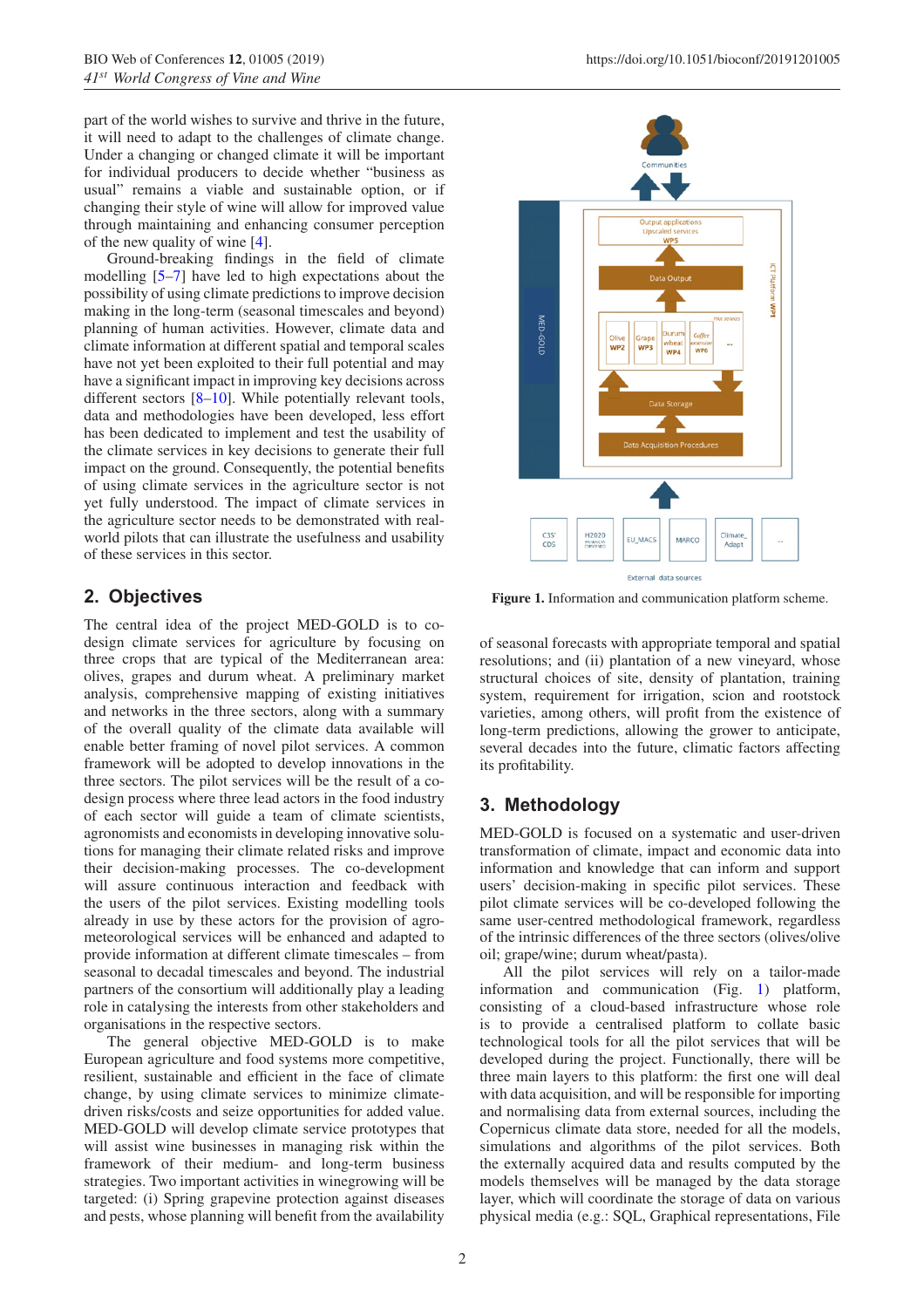part of the world wishes to survive and thrive in the future, it will need to adapt to the challenges of climate change. Under a changing or changed climate it will be important for individual producers to decide whether "business as usual" remains a viable and sustainable option, or if changing their style of wine will allow for improved value through maintaining and enhancing consumer perception of the new quality of wine [\[4](#page-3-3)].

Ground-breaking findings in the field of climate modelling [\[5](#page-3-4)[–7\]](#page-3-5) have led to high expectations about the possibility of using climate predictions to improve decision making in the long-term (seasonal timescales and beyond) planning of human activities. However, climate data and climate information at different spatial and temporal scales have not yet been exploited to their full potential and may have a significant impact in improving key decisions across different sectors [\[8](#page-3-6)[–10](#page-3-7)]. While potentially relevant tools, data and methodologies have been developed, less effort has been dedicated to implement and test the usability of the climate services in key decisions to generate their full impact on the ground. Consequently, the potential benefits of using climate services in the agriculture sector is not yet fully understood. The impact of climate services in the agriculture sector needs to be demonstrated with realworld pilots that can illustrate the usefulness and usability of these services in this sector.

### **2. Objectives**

The central idea of the project MED-GOLD is to codesign climate services for agriculture by focusing on three crops that are typical of the Mediterranean area: olives, grapes and durum wheat. A preliminary market analysis, comprehensive mapping of existing initiatives and networks in the three sectors, along with a summary of the overall quality of the climate data available will enable better framing of novel pilot services. A common framework will be adopted to develop innovations in the three sectors. The pilot services will be the result of a codesign process where three lead actors in the food industry of each sector will guide a team of climate scientists, agronomists and economists in developing innovative solutions for managing their climate related risks and improve their decision-making processes. The co-development will assure continuous interaction and feedback with the users of the pilot services. Existing modelling tools already in use by these actors for the provision of agrometeorological services will be enhanced and adapted to provide information at different climate timescales – from seasonal to decadal timescales and beyond. The industrial partners of the consortium will additionally play a leading role in catalysing the interests from other stakeholders and organisations in the respective sectors.

The general objective MED-GOLD is to make European agriculture and food systems more competitive, resilient, sustainable and efficient in the face of climate change, by using climate services to minimize climatedriven risks/costs and seize opportunities for added value. MED-GOLD will develop climate service prototypes that will assist wine businesses in managing risk within the framework of their medium- and long-term business strategies. Two important activities in winegrowing will be targeted: (i) Spring grapevine protection against diseases and pests, whose planning will benefit from the availability

<span id="page-1-0"></span>

**Figure 1.** Information and communication platform scheme.

of seasonal forecasts with appropriate temporal and spatial resolutions; and (ii) plantation of a new vineyard, whose structural choices of site, density of plantation, training system, requirement for irrigation, scion and rootstock varieties, among others, will profit from the existence of long-term predictions, allowing the grower to anticipate, several decades into the future, climatic factors affecting its profitability.

## **3. Methodology**

MED-GOLD is focused on a systematic and user-driven transformation of climate, impact and economic data into information and knowledge that can inform and support users' decision-making in specific pilot services. These pilot climate services will be co-developed following the same user-centred methodological framework, regardless of the intrinsic differences of the three sectors (olives/olive oil; grape/wine; durum wheat/pasta).

All the pilot services will rely on a tailor-made information and communication (Fig. [1\)](#page-1-0) platform, consisting of a cloud-based infrastructure whose role is to provide a centralised platform to collate basic technological tools for all the pilot services that will be developed during the project. Functionally, there will be three main layers to this platform: the first one will deal with data acquisition, and will be responsible for importing and normalising data from external sources, including the Copernicus climate data store, needed for all the models, simulations and algorithms of the pilot services. Both the externally acquired data and results computed by the models themselves will be managed by the data storage layer, which will coordinate the storage of data on various physical media (e.g.: SQL, Graphical representations, File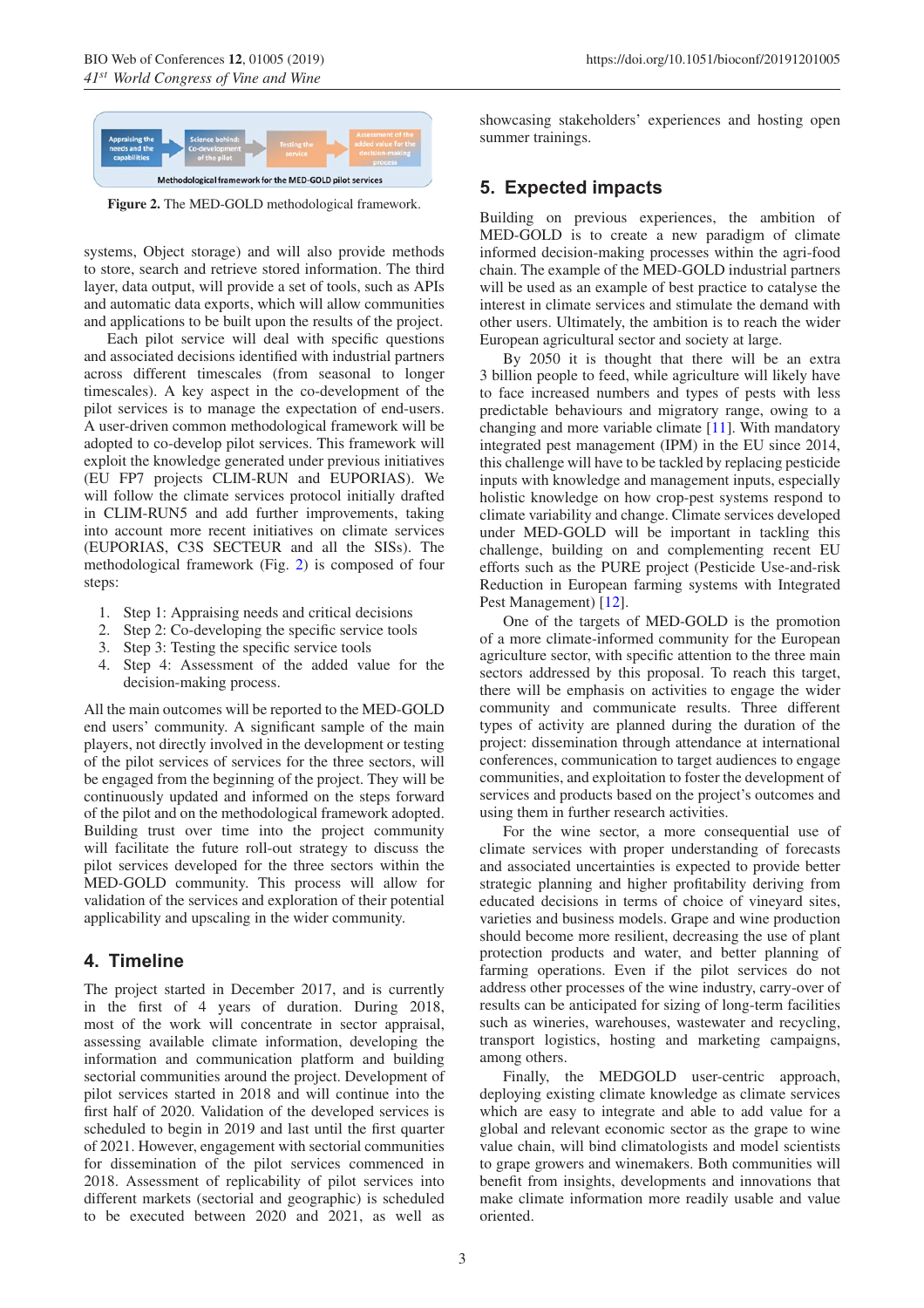<span id="page-2-0"></span>

**Figure 2.** The MED-GOLD methodological framework.

systems, Object storage) and will also provide methods to store, search and retrieve stored information. The third layer, data output, will provide a set of tools, such as APIs and automatic data exports, which will allow communities and applications to be built upon the results of the project.

Each pilot service will deal with specific questions and associated decisions identified with industrial partners across different timescales (from seasonal to longer timescales). A key aspect in the co-development of the pilot services is to manage the expectation of end-users. A user-driven common methodological framework will be adopted to co-develop pilot services. This framework will exploit the knowledge generated under previous initiatives (EU FP7 projects CLIM-RUN and EUPORIAS). We will follow the climate services protocol initially drafted in CLIM-RUN5 and add further improvements, taking into account more recent initiatives on climate services (EUPORIAS, C3S SECTEUR and all the SISs). The methodological framework (Fig. [2\)](#page-2-0) is composed of four steps:

- 1. Step 1: Appraising needs and critical decisions
- 2. Step 2: Co-developing the specific service tools
- 3. Step 3: Testing the specific service tools
- 4. Step 4: Assessment of the added value for the decision-making process.

All the main outcomes will be reported to the MED-GOLD end users' community. A significant sample of the main players, not directly involved in the development or testing of the pilot services of services for the three sectors, will be engaged from the beginning of the project. They will be continuously updated and informed on the steps forward of the pilot and on the methodological framework adopted. Building trust over time into the project community will facilitate the future roll-out strategy to discuss the pilot services developed for the three sectors within the MED-GOLD community. This process will allow for validation of the services and exploration of their potential applicability and upscaling in the wider community.

#### **4. Timeline**

The project started in December 2017, and is currently in the first of 4 years of duration. During 2018, most of the work will concentrate in sector appraisal, assessing available climate information, developing the information and communication platform and building sectorial communities around the project. Development of pilot services started in 2018 and will continue into the first half of 2020. Validation of the developed services is scheduled to begin in 2019 and last until the first quarter of 2021. However, engagement with sectorial communities for dissemination of the pilot services commenced in 2018. Assessment of replicability of pilot services into different markets (sectorial and geographic) is scheduled to be executed between 2020 and 2021, as well as showcasing stakeholders' experiences and hosting open summer trainings.

#### **5. Expected impacts**

Building on previous experiences, the ambition of MED-GOLD is to create a new paradigm of climate informed decision-making processes within the agri-food chain. The example of the MED-GOLD industrial partners will be used as an example of best practice to catalyse the interest in climate services and stimulate the demand with other users. Ultimately, the ambition is to reach the wider European agricultural sector and society at large.

By 2050 it is thought that there will be an extra 3 billion people to feed, while agriculture will likely have to face increased numbers and types of pests with less predictable behaviours and migratory range, owing to a changing and more variable climate [\[11](#page-3-8)]. With mandatory integrated pest management (IPM) in the EU since 2014, this challenge will have to be tackled by replacing pesticide inputs with knowledge and management inputs, especially holistic knowledge on how crop-pest systems respond to climate variability and change. Climate services developed under MED-GOLD will be important in tackling this challenge, building on and complementing recent EU efforts such as the PURE project (Pesticide Use-and-risk Reduction in European farming systems with Integrated Pest Management) [\[12](#page-3-9)].

One of the targets of MED-GOLD is the promotion of a more climate-informed community for the European agriculture sector, with specific attention to the three main sectors addressed by this proposal. To reach this target, there will be emphasis on activities to engage the wider community and communicate results. Three different types of activity are planned during the duration of the project: dissemination through attendance at international conferences, communication to target audiences to engage communities, and exploitation to foster the development of services and products based on the project's outcomes and using them in further research activities.

For the wine sector, a more consequential use of climate services with proper understanding of forecasts and associated uncertainties is expected to provide better strategic planning and higher profitability deriving from educated decisions in terms of choice of vineyard sites, varieties and business models. Grape and wine production should become more resilient, decreasing the use of plant protection products and water, and better planning of farming operations. Even if the pilot services do not address other processes of the wine industry, carry-over of results can be anticipated for sizing of long-term facilities such as wineries, warehouses, wastewater and recycling, transport logistics, hosting and marketing campaigns, among others.

Finally, the MEDGOLD user-centric approach, deploying existing climate knowledge as climate services which are easy to integrate and able to add value for a global and relevant economic sector as the grape to wine value chain, will bind climatologists and model scientists to grape growers and winemakers. Both communities will benefit from insights, developments and innovations that make climate information more readily usable and value oriented.